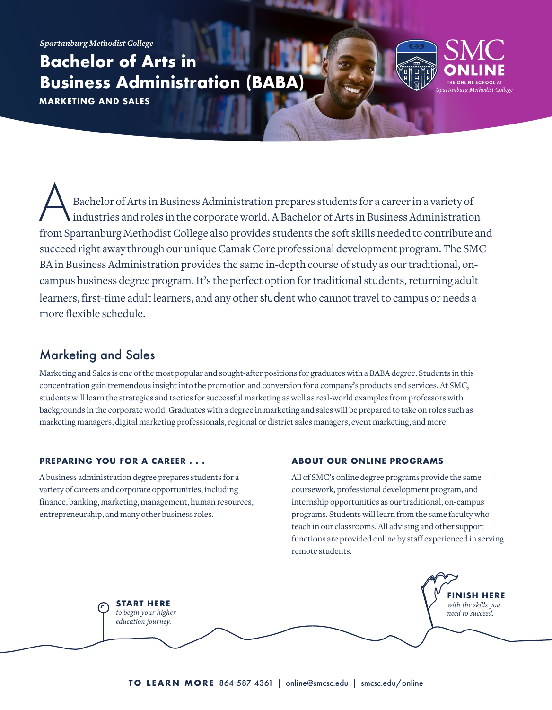*Spartanburg Methodist College*

**Bachelor of Arts in Business Administration (BABA)**

**MARKETING AND SALES**

A Bachelor of Arts in Business Administration prepares students for a career in a variety of industries and roles in the corporate world. A Bachelor of Arts in Business Administration from Spartanburg Methodist College also provides students the soft skills needed to contribute and succeed right away through our unique Camak Core professional development program. The SMC BA in Business Administration provides the same in-depth course of study as our traditional, oncampus business degree program. It's the perfect option for traditional students, returning adult learners, first-time adult learners, and any other student who cannot travel to campus or needs a more flexible schedule.

# Marketing and Sales

Marketing and Sales is one of the most popular and sought-after positions for graduates with a BABA degree. Students in this concentration gain tremendous insight into the promotion and conversion for a company's products and services. At SMC, students will learn the strategies and tactics for successful marketing as well as real-world examples from professors with backgrounds in the corporate world. Graduates with a degree in marketing and sales will be prepared to take on roles such as marketing managers, digital marketing professionals, regional or district sales managers, event marketing, and more.

## **PREPARING YOU FOR A CAREER . . .**

A business administration degree prepares students for a variety of careers and corporate opportunities, including finance, banking, marketing, management, human resources, entrepreneurship, and many other business roles.

## **ABOUT OUR ONLINE PROGRAMS**

All of SMC's online degree programs provide the same coursework, professional development program, and internship opportunities as our traditional, on-campus programs. Students will learn from the same faculty who teach in our classrooms. All advising and other support functions are provided online by staff experienced in serving remote students.

THE ONLINE SCHOOL AT rtanburg Methodist College